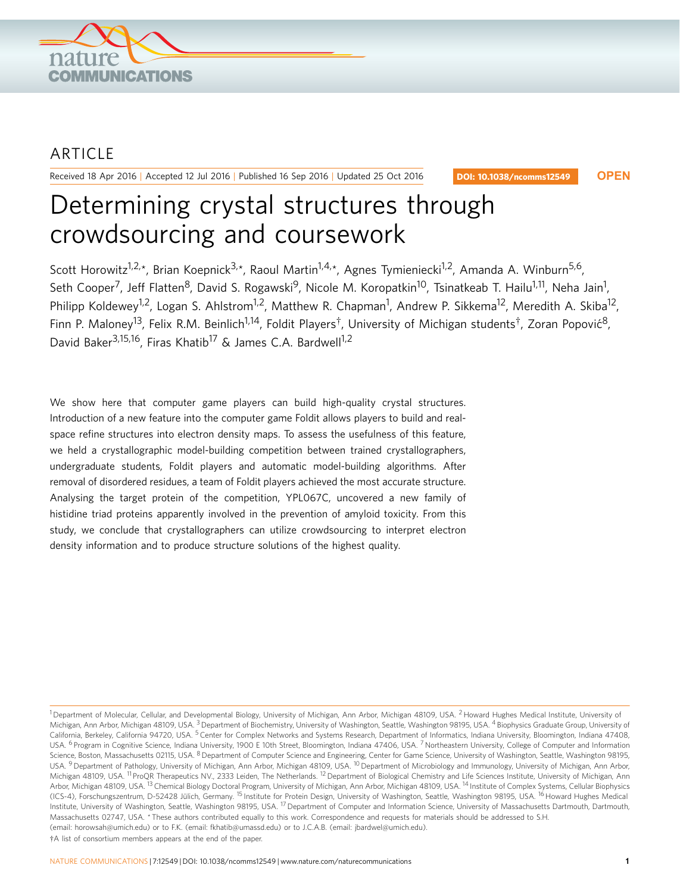

# ARTICLE

Received 18 Apr 2016 | Accepted 12 Jul 2016 | Published 16 Sep 2016 | Updated 25 Oct 2016

DOI: 10.1038/ncomms12549 **OPEN**

# Determining crystal structures through crowdsourcing and coursework

Scott Horowitz<sup>1,2,\*</sup>, Brian Koepnick<sup>3,\*</sup>, Raoul Martin<sup>1,4,\*</sup>, Agnes Tymieniecki<sup>1,2</sup>, Amanda A. Winburn<sup>5,6</sup>, Seth Cooper<sup>7</sup>, Jeff Flatten<sup>8</sup>, David S. Rogawski<sup>9</sup>, Nicole M. Koropatkin<sup>10</sup>, Tsinatkeab T. Hailu<sup>1,11</sup>, Neha Jain<sup>1</sup>, Philipp Koldewey<sup>1,2</sup>, Logan S. Ahlstrom<sup>1,2</sup>, Matthew R. Chapman<sup>1</sup>, Andrew P. Sikkema<sup>12</sup>, Meredith A. Skiba<sup>12</sup>, Finn P. Maloney<sup>13</sup>, Felix R.M. Beinlich<sup>1,14</sup>, Foldit Players<sup>†</sup>, University of Michigan students<sup>†</sup>, Zoran Popović<sup>8</sup>, David Baker<sup>3,15,16</sup>, Firas Khatib<sup>17</sup> & James C.A. Bardwell<sup>1,2</sup>

We show here that computer game players can build high-quality crystal structures. Introduction of a new feature into the computer game Foldit allows players to build and realspace refine structures into electron density maps. To assess the usefulness of this feature, we held a crystallographic model-building competition between trained crystallographers, undergraduate students, Foldit players and automatic model-building algorithms. After removal of disordered residues, a team of Foldit players achieved the most accurate structure. Analysing the target protein of the competition, YPL067C, uncovered a new family of histidine triad proteins apparently involved in the prevention of amyloid toxicity. From this study, we conclude that crystallographers can utilize crowdsourcing to interpret electron density information and to produce structure solutions of the highest quality.

<sup>&</sup>lt;sup>1</sup> Department of Molecular, Cellular, and Developmental Biology, University of Michigan, Ann Arbor, Michigan 48109, USA. <sup>2</sup> Howard Hughes Medical Institute, University of Michigan, Ann Arbor, Michigan 48109, USA.<sup>3</sup> Department of Biochemistry, University of Washington, Seattle, Washington 98195, USA. <sup>4</sup> Biophysics Graduate Group, University of California, Berkeley, California 94720, USA. <sup>5</sup> Center for Complex Networks and Systems Research, Department of Informatics, Indiana University, Bloomington, Indiana 47408, USA. <sup>6</sup> Program in Cognitive Science, Indiana University, 1900 E 10th Street, Bloomington, Indiana 47406, USA. <sup>7</sup> Northeastern University, College of Computer and Information Science, Boston, Massachusetts 02115, USA. <sup>8</sup> Department of Computer Science and Engineering, Center for Game Science, University of Washington, Seattle, Washington 98195, USA. <sup>9</sup> Department of Pathology, University of Michigan, Ann Arbor, Michigan 48109, USA. <sup>10</sup> Department of Microbiology and Immunology, University of Michigan, Ann Arbor, Michigan 48109, USA. <sup>11</sup> ProQR Therapeutics NV., 2333 Leiden, The Netherlands. <sup>12</sup> Department of Biological Chemistry and Life Sciences Institute, University of Michigan, Ann Arbor, Michigan 48109, USA. <sup>13</sup> Chemical Biology Doctoral Program, University of Michigan, Ann Arbor, Michigan 48109, USA. <sup>14</sup> Institute of Complex Systems, Cellular Biophysics (ICS-4), Forschungszentrum, D-52428 Jülich, Germany. <sup>15</sup> Institute for Protein Design, University of Washington, Seattle, Washington 98195, USA. <sup>16</sup> Howard Hughes Medical Institute, University of Washington, Seattle, Washington 98195, USA. <sup>17</sup> Department of Computer and Information Science, University of Massachusetts Dartmouth, Dartmouth, Massachusetts 02747, USA. \* These authors contributed equally to this work. Correspondence and requests for materials should be addressed to S.H. (email: horowsah@umich.edu) or to F.K. (email: fkhatib@umassd.edu) or to J.C.A.B. (email: jbardwel@umich.edu).

 $\dagger$ A list of consortium members appears at the end of the paper.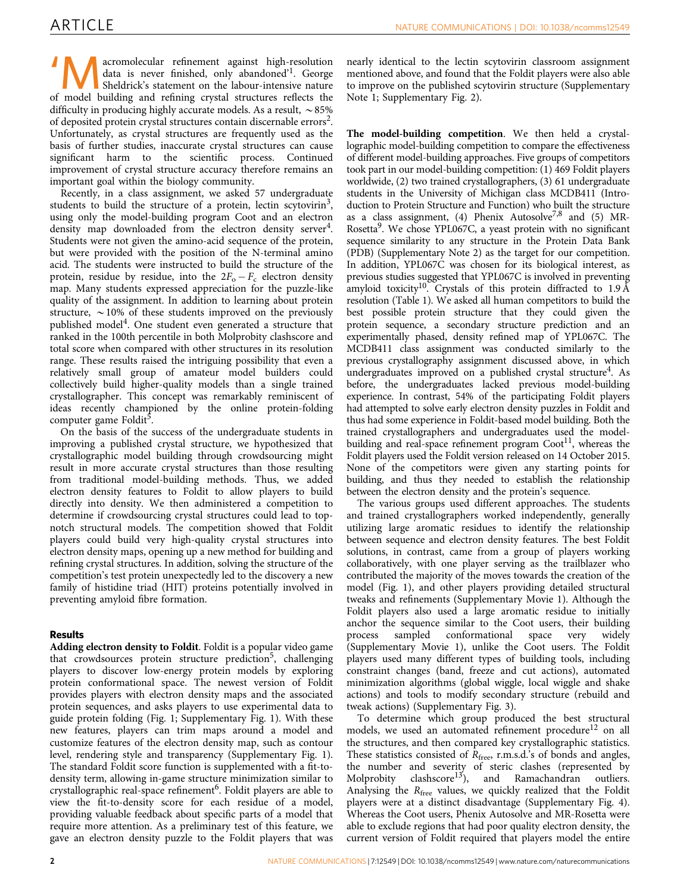acromolecular refinement against high-resolution data is never finished, only abandoned<sup>'1</sup>. George Sheldrick's statement on the labour-intensive nature of model building and refining crystal structures reflects the difficulty in producing highly accurate models. As a result,  $\sim$ 85% of deposited protein crystal structures contain discernable errors<sup>2</sup>. Unfortunately, as crystal structures are frequently used as the basis of further studies, inaccurate crystal structures can cause significant harm to the scientific process. Continued improvement of crystal structure accuracy therefore remains an important goal within the biology community.

Recently, in a class assignment, we asked 57 undergraduate students to build the structure of a protein, lectin scytovirin<sup>3</sup>, using only the model-building program Coot and an electron density map downloaded from the electron density server<sup>4</sup>. Students were not given the amino-acid sequence of the protein, but were provided with the position of the N-terminal amino acid. The students were instructed to build the structure of the protein, residue by residue, into the  $2F_{o} - F_{c}$  electron density map. Many students expressed appreciation for the puzzle-like quality of the assignment. In addition to learning about protein structure,  $\sim$  10% of these students improved on the previously published model<sup>4</sup>. One student even generated a structure that ranked in the 100th percentile in both Molprobity clashscore and total score when compared with other structures in its resolution range. These results raised the intriguing possibility that even a relatively small group of amateur model builders could collectively build higher-quality models than a single trained crystallographer. This concept was remarkably reminiscent of ideas recently championed by the online protein-folding computer game Foldit<sup>5</sup>.

On the basis of the success of the undergraduate students in improving a published crystal structure, we hypothesized that crystallographic model building through crowdsourcing might result in more accurate crystal structures than those resulting from traditional model-building methods. Thus, we added electron density features to Foldit to allow players to build directly into density. We then administered a competition to determine if crowdsourcing crystal structures could lead to topnotch structural models. The competition showed that Foldit players could build very high-quality crystal structures into electron density maps, opening up a new method for building and refining crystal structures. In addition, solving the structure of the competition's test protein unexpectedly led to the discovery a new family of histidine triad (HIT) proteins potentially involved in preventing amyloid fibre formation.

# **Results**

Adding electron density to Foldit. Foldit is a popular video game that crowdsources protein structure prediction<sup>5</sup>, challenging players to discover low-energy protein models by exploring protein conformational space. The newest version of Foldit provides players with electron density maps and the associated protein sequences, and asks players to use experimental data to guide protein folding (Fig. 1; Supplementary Fig. 1). With these new features, players can trim maps around a model and customize features of the electron density map, such as contour level, rendering style and transparency (Supplementary Fig. 1). The standard Foldit score function is supplemented with a fit-todensity term, allowing in-game structure minimization similar to crystallographic real-space refinement<sup>6</sup>. Foldit players are able to view the fit-to-density score for each residue of a model, providing valuable feedback about specific parts of a model that require more attention. As a preliminary test of this feature, we gave an electron density puzzle to the Foldit players that was

nearly identical to the lectin scytovirin classroom assignment mentioned above, and found that the Foldit players were also able to improve on the published scytovirin structure (Supplementary Note 1; Supplementary Fig. 2).

The model-building competition. We then held a crystallographic model-building competition to compare the effectiveness of different model-building approaches. Five groups of competitors took part in our model-building competition: (1) 469 Foldit players worldwide, (2) two trained crystallographers, (3) 61 undergraduate students in the University of Michigan class MCDB411 (Introduction to Protein Structure and Function) who built the structure as a class assignment, (4) Phenix Autosolve<sup>7,8</sup> and (5) MR-Rosetta<sup>9</sup>. We chose YPL067C, a yeast protein with no significant sequence similarity to any structure in the Protein Data Bank (PDB) (Supplementary Note 2) as the target for our competition. In addition, YPL067C was chosen for its biological interest, as previous studies suggested that YPL067C is involved in preventing amyloid toxicity<sup>10</sup>. Crystals of this protein diffracted to  $1.9 \text{ Å}$ resolution (Table 1). We asked all human competitors to build the best possible protein structure that they could given the protein sequence, a secondary structure prediction and an experimentally phased, density refined map of YPL067C. The MCDB411 class assignment was conducted similarly to the previous crystallography assignment discussed above, in which undergraduates improved on a published crystal structure<sup>4</sup>. As before, the undergraduates lacked previous model-building experience. In contrast, 54% of the participating Foldit players had attempted to solve early electron density puzzles in Foldit and thus had some experience in Foldit-based model building. Both the trained crystallographers and undergraduates used the modelbuilding and real-space refinement program  $Coot<sup>11</sup>$ , whereas the Foldit players used the Foldit version released on 14 October 2015. None of the competitors were given any starting points for building, and thus they needed to establish the relationship between the electron density and the protein's sequence.

The various groups used different approaches. The students and trained crystallographers worked independently, generally utilizing large aromatic residues to identify the relationship between sequence and electron density features. The best Foldit solutions, in contrast, came from a group of players working collaboratively, with one player serving as the trailblazer who contributed the majority of the moves towards the creation of the model (Fig. 1), and other players providing detailed structural tweaks and refinements (Supplementary Movie 1). Although the Foldit players also used a large aromatic residue to initially anchor the sequence similar to the Coot users, their building process sampled conformational space very widely (Supplementary Movie 1), unlike the Coot users. The Foldit players used many different types of building tools, including constraint changes (band, freeze and cut actions), automated minimization algorithms (global wiggle, local wiggle and shake actions) and tools to modify secondary structure (rebuild and tweak actions) (Supplementary Fig. 3).

To determine which group produced the best structural models, we used an automated refinement procedure<sup>12</sup> on all the structures, and then compared key crystallographic statistics. These statistics consisted of  $R_{\text{free}}$ , r.m.s.d.'s of bonds and angles, the number and severity of steric clashes (represented by Molprobity clashscore<sup>13</sup>), and Ramachandran outliers. Analysing the  $R_{\text{free}}$  values, we quickly realized that the Foldit players were at a distinct disadvantage (Supplementary Fig. 4). Whereas the Coot users, Phenix Autosolve and MR-Rosetta were able to exclude regions that had poor quality electron density, the current version of Foldit required that players model the entire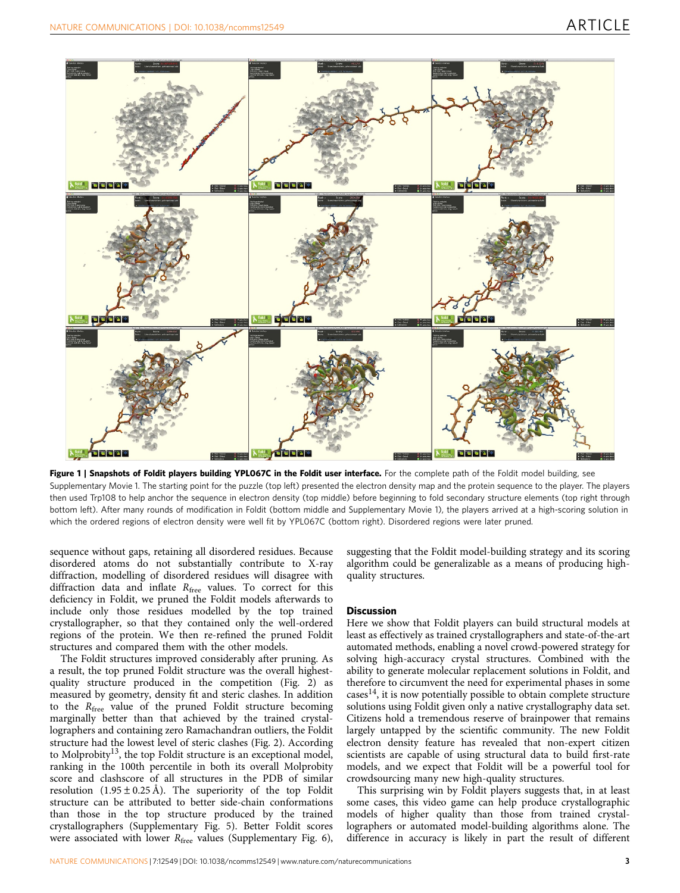

Figure 1 | Snapshots of Foldit players building YPL067C in the Foldit user interface. For the complete path of the Foldit model building, see Supplementary Movie 1. The starting point for the puzzle (top left) presented the electron density map and the protein sequence to the player. The players then used Trp108 to help anchor the sequence in electron density (top middle) before beginning to fold secondary structure elements (top right through bottom left). After many rounds of modification in Foldit (bottom middle and Supplementary Movie 1), the players arrived at a high-scoring solution in which the ordered regions of electron density were well fit by YPL067C (bottom right). Disordered regions were later pruned.

sequence without gaps, retaining all disordered residues. Because disordered atoms do not substantially contribute to X-ray diffraction, modelling of disordered residues will disagree with diffraction data and inflate  $R_{\text{free}}$  values. To correct for this deficiency in Foldit, we pruned the Foldit models afterwards to include only those residues modelled by the top trained crystallographer, so that they contained only the well-ordered regions of the protein. We then re-refined the pruned Foldit structures and compared them with the other models.

The Foldit structures improved considerably after pruning. As a result, the top pruned Foldit structure was the overall highestquality structure produced in the competition (Fig. 2) as measured by geometry, density fit and steric clashes. In addition to the  $R_{\text{free}}$  value of the pruned Foldit structure becoming marginally better than that achieved by the trained crystallographers and containing zero Ramachandran outliers, the Foldit structure had the lowest level of steric clashes (Fig. 2). According to Molprobity<sup>13</sup>, the top Foldit structure is an exceptional model, ranking in the 100th percentile in both its overall Molprobity score and clashscore of all structures in the PDB of similar resolution  $(1.95 \pm 0.25 \text{ Å})$ . The superiority of the top Foldit structure can be attributed to better side-chain conformations than those in the top structure produced by the trained crystallographers (Supplementary Fig. 5). Better Foldit scores were associated with lower  $R_{\text{free}}$  values (Supplementary Fig. 6),

suggesting that the Foldit model-building strategy and its scoring algorithm could be generalizable as a means of producing highquality structures.

### **Discussion**

Here we show that Foldit players can build structural models at least as effectively as trained crystallographers and state-of-the-art automated methods, enabling a novel crowd-powered strategy for solving high-accuracy crystal structures. Combined with the ability to generate molecular replacement solutions in Foldit, and therefore to circumvent the need for experimental phases in some cases $^{14}$ , it is now potentially possible to obtain complete structure solutions using Foldit given only a native crystallography data set. Citizens hold a tremendous reserve of brainpower that remains largely untapped by the scientific community. The new Foldit electron density feature has revealed that non-expert citizen scientists are capable of using structural data to build first-rate models, and we expect that Foldit will be a powerful tool for crowdsourcing many new high-quality structures.

This surprising win by Foldit players suggests that, in at least some cases, this video game can help produce crystallographic models of higher quality than those from trained crystallographers or automated model-building algorithms alone. The difference in accuracy is likely in part the result of different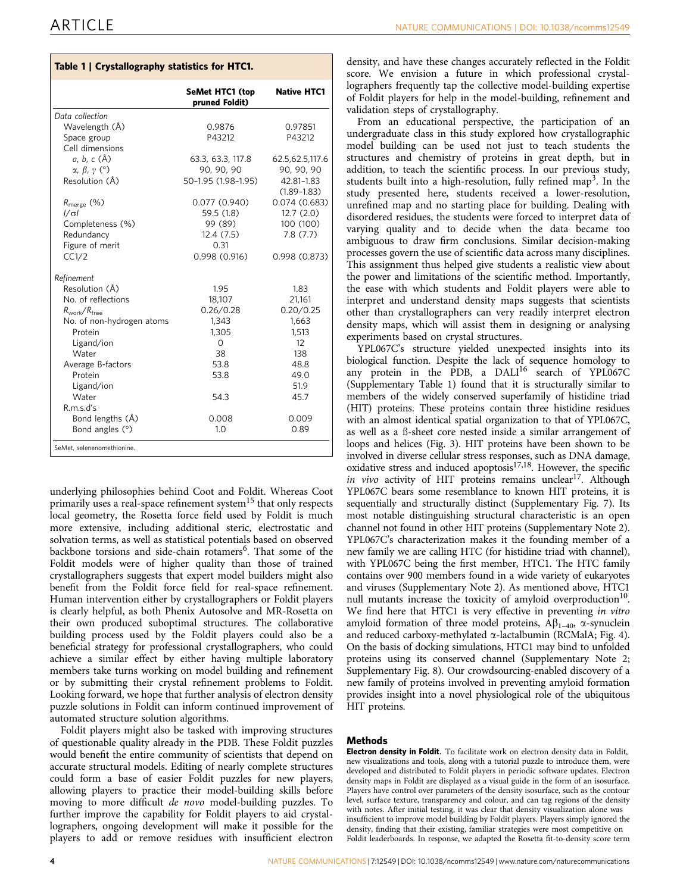# Table 1 | Crystallography statistics for HTC1.

|                                   | <b>SeMet HTC1 (top</b><br>pruned Foldit) | <b>Native HTC1</b>    |
|-----------------------------------|------------------------------------------|-----------------------|
| Data collection                   |                                          |                       |
| Wavelength (Å)                    | 0.9876                                   | 0.97851               |
| Space group                       | P43212                                   | P43212                |
| Cell dimensions                   |                                          |                       |
| a, b, c (Å)                       | 63.3, 63.3, 117.8                        | 62.5,62.5,117.6       |
| $\alpha$ , $\beta$ , $\gamma$ (°) | 90, 90, 90                               | 90, 90, 90            |
| Resolution (Å)                    | 50-1.95 (1.98-1.95)                      | 42.81-1.83            |
|                                   |                                          | $(1.89 - 1.83)$       |
| $R_{\text{merge}}$ (%)            | 0.077(0.940)                             | 0.074(0.683)          |
| $1/\sigma$                        | 59.5 (1.8)                               | 12.7(2.0)             |
| Completeness (%)<br>Redundancy    | 99 (89)<br>12.4(7.5)                     | 100 (100)<br>7.8(7.7) |
| Figure of merit                   | 0.31                                     |                       |
| CC1/2                             | 0.998(0.916)                             | 0.998(0.873)          |
|                                   |                                          |                       |
| Refinement                        |                                          |                       |
| Resolution (Å)                    | 1.95                                     | 1.83                  |
| No. of reflections                | 18,107                                   | 21,161                |
| $R_{work}/R_{free}$               | 0.26/0.28                                | 0.20/0.25             |
| No. of non-hydrogen atoms         | 1,343                                    | 1,663                 |
| Protein                           | 1,305                                    | 1,513                 |
| Ligand/ion                        | $\Omega$                                 | 12                    |
| Water                             | 38                                       | 138                   |
| Average B-factors                 | 53.8                                     | 48.8                  |
| Protein                           | 53.8                                     | 49.0                  |
| Ligand/ion<br>Water               | 54.3                                     | 51.9<br>45.7          |
| R.m.s.d's                         |                                          |                       |
| Bond lengths (Å)                  | 0.008                                    | 0.009                 |
| Bond angles $(°)$                 | 1.0                                      | 0.89                  |
|                                   |                                          |                       |
| SeMet, selenenomethionine.        |                                          |                       |

underlying philosophies behind Coot and Foldit. Whereas Coot primarily uses a real-space refinement system<sup>15</sup> that only respects local geometry, the Rosetta force field used by Foldit is much more extensive, including additional steric, electrostatic and solvation terms, as well as statistical potentials based on observed backbone torsions and side-chain rotamers<sup>6</sup>. That some of the Foldit models were of higher quality than those of trained crystallographers suggests that expert model builders might also benefit from the Foldit force field for real-space refinement. Human intervention either by crystallographers or Foldit players is clearly helpful, as both Phenix Autosolve and MR-Rosetta on their own produced suboptimal structures. The collaborative building process used by the Foldit players could also be a beneficial strategy for professional crystallographers, who could achieve a similar effect by either having multiple laboratory members take turns working on model building and refinement or by submitting their crystal refinement problems to Foldit. Looking forward, we hope that further analysis of electron density puzzle solutions in Foldit can inform continued improvement of automated structure solution algorithms.

Foldit players might also be tasked with improving structures of questionable quality already in the PDB. These Foldit puzzles would benefit the entire community of scientists that depend on accurate structural models. Editing of nearly complete structures could form a base of easier Foldit puzzles for new players, allowing players to practice their model-building skills before moving to more difficult de novo model-building puzzles. To further improve the capability for Foldit players to aid crystallographers, ongoing development will make it possible for the players to add or remove residues with insufficient electron

density, and have these changes accurately reflected in the Foldit score. We envision a future in which professional crystallographers frequently tap the collective model-building expertise of Foldit players for help in the model-building, refinement and validation steps of crystallography.

From an educational perspective, the participation of an undergraduate class in this study explored how crystallographic model building can be used not just to teach students the structures and chemistry of proteins in great depth, but in addition, to teach the scientific process. In our previous study, students built into a high-resolution, fully refined map<sup>3</sup>. In the study presented here, students received a lower-resolution, unrefined map and no starting place for building. Dealing with disordered residues, the students were forced to interpret data of varying quality and to decide when the data became too ambiguous to draw firm conclusions. Similar decision-making processes govern the use of scientific data across many disciplines. This assignment thus helped give students a realistic view about the power and limitations of the scientific method. Importantly, the ease with which students and Foldit players were able to interpret and understand density maps suggests that scientists other than crystallographers can very readily interpret electron density maps, which will assist them in designing or analysing experiments based on crystal structures.

YPL067C's structure yielded unexpected insights into its biological function. Despite the lack of sequence homology to any protein in the PDB, a  $DALI^{16}$  search of YPL067C (Supplementary Table 1) found that it is structurally similar to members of the widely conserved superfamily of histidine triad (HIT) proteins. These proteins contain three histidine residues with an almost identical spatial organization to that of YPL067C, as well as a ß-sheet core nested inside a similar arrangement of loops and helices (Fig. 3). HIT proteins have been shown to be involved in diverse cellular stress responses, such as DNA damage, oxidative stress and induced apoptosis<sup>17,18</sup>. However, the specific in vivo activity of HIT proteins remains unclear<sup>17</sup>. Although YPL067C bears some resemblance to known HIT proteins, it is sequentially and structurally distinct (Supplementary Fig. 7). Its most notable distinguishing structural characteristic is an open channel not found in other HIT proteins (Supplementary Note 2). YPL067C's characterization makes it the founding member of a new family we are calling HTC (for histidine triad with channel), with YPL067C being the first member, HTC1. The HTC family contains over 900 members found in a wide variety of eukaryotes and viruses (Supplementary Note 2). As mentioned above, HTC1 null mutants increase the toxicity of amyloid overproduction<sup>10</sup>. We find here that HTC1 is very effective in preventing in vitro amyloid formation of three model proteins,  $A\beta_{1-40}$ ,  $\alpha$ -synuclein and reduced carboxy-methylated  $\alpha$ -lactalbumin (RCMalA; Fig. 4). On the basis of docking simulations, HTC1 may bind to unfolded proteins using its conserved channel (Supplementary Note 2; Supplementary Fig. 8). Our crowdsourcing-enabled discovery of a new family of proteins involved in preventing amyloid formation provides insight into a novel physiological role of the ubiquitous HIT proteins.

## Methods

Electron density in Foldit. To facilitate work on electron density data in Foldit, new visualizations and tools, along with a tutorial puzzle to introduce them, were developed and distributed to Foldit players in periodic software updates. Electron density maps in Foldit are displayed as a visual guide in the form of an isosurface. Players have control over parameters of the density isosurface, such as the contour level, surface texture, transparency and colour, and can tag regions of the density with notes. After initial testing, it was clear that density visualization alone was insufficient to improve model building by Foldit players. Players simply ignored the density, finding that their existing, familiar strategies were most competitive on Foldit leaderboards. In response, we adapted the Rosetta fit-to-density score term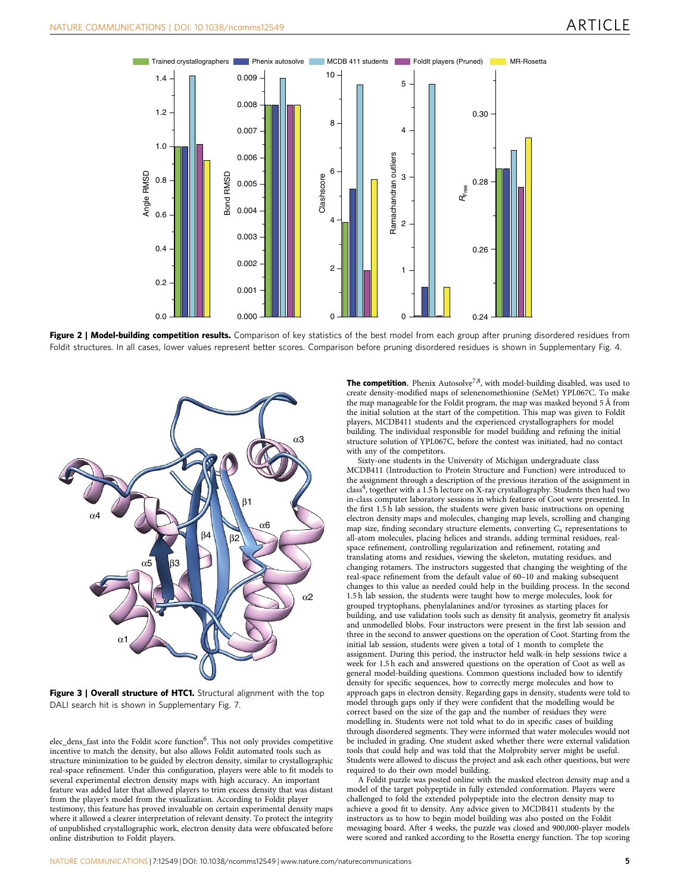

Figure 2 | Model-building competition results. Comparison of key statistics of the best model from each group after pruning disordered residues from Foldit structures. In all cases, lower values represent better scores. Comparison before pruning disordered residues is shown in Supplementary Fig. 4.



Figure 3 | Overall structure of HTC1. Structural alignment with the top DALI search hit is shown in Supplementary Fig. 7.

elec\_dens\_fast into the Foldit score function<sup>6</sup>. This not only provides competitive incentive to match the density, but also allows Foldit automated tools such as structure minimization to be guided by electron density, similar to crystallographic real-space refinement. Under this configuration, players were able to fit models to several experimental electron density maps with high accuracy. An important feature was added later that allowed players to trim excess density that was distant from the player's model from the visualization. According to Foldit player testimony, this feature has proved invaluable on certain experimental density maps where it allowed a clearer interpretation of relevant density. To protect the integrity of unpublished crystallographic work, electron density data were obfuscated before online distribution to Foldit players.

**The competition.** Phenix Autosolve<sup>7,8</sup>, with model-building disabled, was used to create density-modified maps of selenenomethionine (SeMet) YPL067C. To make the map manageable for the Foldit program, the map was masked beyond 5 Å from the initial solution at the start of the competition. This map was given to Foldit players, MCDB411 students and the experienced crystallographers for model building. The individual responsible for model building and refining the initial structure solution of YPL067C, before the contest was initiated, had no contact with any of the competitors.

Sixty-one students in the University of Michigan undergraduate class MCDB411 (Introduction to Protein Structure and Function) were introduced to the assignment through a description of the previous iteration of the assignment in class<sup>4</sup>, together with a 1.5 h lecture on X-ray crystallography. Students then had two in-class computer laboratory sessions in which features of Coot were presented. In the first 1.5 h lab session, the students were given basic instructions on opening electron density maps and molecules, changing map levels, scrolling and changing map size, finding secondary structure elements, converting  $C_{\alpha}$  representations to all-atom molecules, placing helices and strands, adding terminal residues, realspace refinement, controlling regularization and refinement, rotating and translating atoms and residues, viewing the skeleton, mutating residues, and changing rotamers. The instructors suggested that changing the weighting of the real-space refinement from the default value of 60–10 and making subsequent changes to this value as needed could help in the building process. In the second 1.5 h lab session, the students were taught how to merge molecules, look for grouped tryptophans, phenylalanines and/or tyrosines as starting places for building, and use validation tools such as density fit analysis, geometry fit analysis and unmodelled blobs. Four instructors were present in the first lab session and three in the second to answer questions on the operation of Coot. Starting from the initial lab session, students were given a total of 1 month to complete the assignment. During this period, the instructor held walk-in help sessions twice a week for 1.5 h each and answered questions on the operation of Coot as well as general model-building questions. Common questions included how to identify density for specific sequences, how to correctly merge molecules and how to approach gaps in electron density. Regarding gaps in density, students were told to model through gaps only if they were confident that the modelling would be correct based on the size of the gap and the number of residues they were modelling in. Students were not told what to do in specific cases of building through disordered segments. They were informed that water molecules would not be included in grading. One student asked whether there were external validation tools that could help and was told that the Molprobity server might be useful. Students were allowed to discuss the project and ask each other questions, but were required to do their own model building.

A Foldit puzzle was posted online with the masked electron density map and a model of the target polypeptide in fully extended conformation. Players were challenged to fold the extended polypeptide into the electron density map to achieve a good fit to density. Any advice given to MCDB411 students by the instructors as to how to begin model building was also posted on the Foldit messaging board. After 4 weeks, the puzzle was closed and 900,000-player models were scored and ranked according to the Rosetta energy function. The top scoring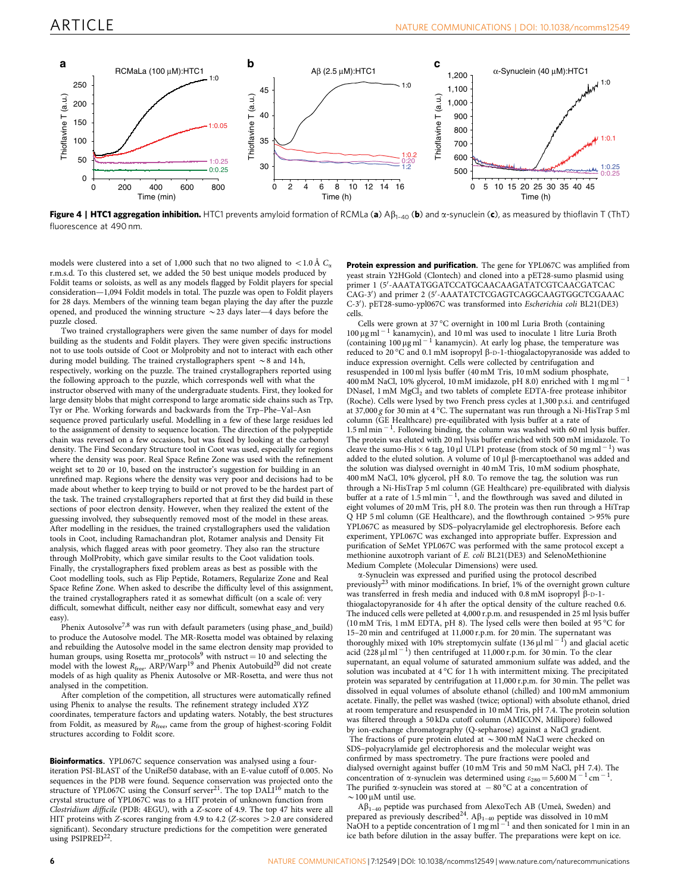

Figure 4 | HTC1 aggregation inhibition. HTC1 prevents amyloid formation of RCMLa (a)  $Ap_{1-40}$  (b) and  $\alpha$ -synuclein (c), as measured by thioflavin T (ThT) fluorescence at 490 nm.

models were clustered into a set of 1,000 such that no two aligned to <1.0 Å  $C_{\alpha}$ r.m.s.d. To this clustered set, we added the 50 best unique models produced by Foldit teams or soloists, as well as any models flagged by Foldit players for special consideration—1,094 Foldit models in total. The puzzle was open to Foldit players for 28 days. Members of the winning team began playing the day after the puzzle opened, and produced the winning structure  $\sim$  23 days later—4 days before the puzzle closed.

Two trained crystallographers were given the same number of days for model building as the students and Foldit players. They were given specific instructions not to use tools outside of Coot or Molprobity and not to interact with each other during model building. The trained crystallographers spent  $\sim$  8 and 14 h, respectively, working on the puzzle. The trained crystallographers reported using the following approach to the puzzle, which corresponds well with what the instructor observed with many of the undergraduate students. First, they looked for large density blobs that might correspond to large aromatic side chains such as Trp, Tyr or Phe. Working forwards and backwards from the Trp–Phe–Val–Asn sequence proved particularly useful. Modelling in a few of these large residues led to the assignment of density to sequence location. The direction of the polypeptide chain was reversed on a few occasions, but was fixed by looking at the carbonyl density. The Find Secondary Structure tool in Coot was used, especially for regions where the density was poor. Real Space Refine Zone was used with the refinement weight set to 20 or 10, based on the instructor's suggestion for building in an unrefined map. Regions where the density was very poor and decisions had to be made about whether to keep trying to build or not proved to be the hardest part of the task. The trained crystallographers reported that at first they did build in these sections of poor electron density. However, when they realized the extent of the guessing involved, they subsequently removed most of the model in these areas. After modelling in the residues, the trained crystallographers used the validation tools in Coot, including Ramachandran plot, Rotamer analysis and Density Fit analysis, which flagged areas with poor geometry. They also ran the structure through MolProbity, which gave similar results to the Coot validation tools. Finally, the crystallographers fixed problem areas as best as possible with the Coot modelling tools, such as Flip Peptide, Rotamers, Regularize Zone and Real Space Refine Zone. When asked to describe the difficulty level of this assignment, the trained crystallographers rated it as somewhat difficult (on a scale of: very difficult, somewhat difficult, neither easy nor difficult, somewhat easy and very easy)

Phenix Autosolve<sup>7,8</sup> was run with default parameters (using phase\_and\_build) to produce the Autosolve model. The MR-Rosetta model was obtained by relaxing and rebuilding the Autosolve model in the same electron density map provided to human groups, using Rosetta mr\_protocols<sup>9</sup> with nstruct = 10 and selecting the model with the lowest  $R_{\text{free}}$ . ARP/Warp<sup>19</sup> and Phenix Autobuild<sup>20</sup> did not create models of as high quality as Phenix Autosolve or MR-Rosetta, and were thus not analysed in the competition.

After completion of the competition, all structures were automatically refined using Phenix to analyse the results. The refinement strategy included XYZ coordinates, temperature factors and updating waters. Notably, the best structures from Foldit, as measured by  $R_{\text{free}}$ , came from the group of highest-scoring Foldit structures according to Foldit score.

Bioinformatics. YPL067C sequence conservation was analysed using a fouriteration PSI-BLAST of the UniRef50 database, with an E-value cutoff of 0.005. No sequences in the PDB were found. Sequence conservation was projected onto the structure of YPL067C using the Consurf server<sup>21</sup>. The top  $\text{DAL1}^{16}$  match to the crystal structure of YPL067C was to a HIT protein of unknown function from Clostridium difficile (PDB: 4EGU), with a Z-score of 4.9. The top 47 hits were all HIT proteins with Z-scores ranging from 4.9 to 4.2 (Z-scores  $>2.0$  are considered significant). Secondary structure predictions for the competition were generated using PSIPRED<sup>22</sup>.

Protein expression and purification. The gene for YPL067C was amplified from yeast strain Y2HGold (Clontech) and cloned into a pET28-sumo plasmid using primer 1 (5'-AAATATGGATCCATGCAACAAGATATCGTCAACGATCAC CAG-3') and primer 2 (5'-AAATATCTCGAGTCAGGCAAGTGGCTCGAAAC C-3'). pET28-sumo-ypl067C was transformed into Escherichia coli BL21(DE3) cells.

Cells were grown at 37 °C overnight in 100 ml Luria Broth (containing  $100 \,\mathrm{\upmu}\mathrm{g\,m}^{-1}$  kanamycin), and 10 ml was used to inoculate 1 litre Luria Broth (containing  $100 \mu g$  ml<sup>-1</sup> kanamycin). At early log phase, the temperature was reduced to 20 °C and 0.1 mM isopropyl β-D-1-thiogalactopyranoside was added to induce expression overnight. Cells were collected by centrifugation and resuspended in 100 ml lysis buffer (40 mM Tris, 10 mM sodium phosphate, 400 mM NaCl, 10% glycerol, 10 mM imidazole, pH 8.0) enriched with 1 mg ml - 1 DNaseI, 1 mM MgCl<sub>2</sub> and two tablets of complete EDTA-free protease inhibitor (Roche). Cells were lysed by two French press cycles at 1,300 p.s.i. and centrifuged at 37,000 g for 30 min at 4 °C. The supernatant was run through a Ni-HisTrap 5 ml column (GE Healthcare) pre-equilibrated with lysis buffer at a rate of  $1.5$  ml min $^{-1}$ . Following binding, the column was washed with 60 ml lysis buffer. The protein was eluted with 20 ml lysis buffer enriched with 500 mM imidazole. To cleave the sumo-His  $\times$  6 tag, 10 µl ULP1 protease (from stock of 50 mg ml<sup>-1</sup>) was added to the eluted solution. A volume of  $10 \mu$ l  $\beta$ -mercaptoethanol was added and the solution was dialysed overnight in 40 mM Tris, 10 mM sodium phosphate, 400 mM NaCl, 10% glycerol, pH 8.0. To remove the tag, the solution was run through a Ni-HisTrap 5 ml column (GE Healthcare) pre-equilibrated with dialysis buffer at a rate of  $1.5$  ml min<sup>-1</sup>, and the flowthrough was saved and diluted in eight volumes of 20 mM Tris, pH 8.0. The protein was then run through a HiTrap Q HP 5 ml column (GE Healthcare), and the flowthrough contained > 95% pure YPL067C as measured by SDS–polyacrylamide gel electrophoresis. Before each experiment, YPL067C was exchanged into appropriate buffer. Expression and purification of SeMet YPL067C was performed with the same protocol except a methionine auxotroph variant of E. coli BL21(DE3) and SelenoMethionine Medium Complete (Molecular Dimensions) were used.

 $\alpha$ -Synuclein was expressed and purified using the protocol described previously<sup>23</sup> with minor modifications. In brief, 1% of the overnight grown culture was transferred in fresh media and induced with  $0.8 \text{ mM}$  isopropyl  $\beta$ -D-1thiogalactopyranoside for 4 h after the optical density of the culture reached 0.6. The induced cells were pelleted at 4,000 r.p.m. and resuspended in 25 ml lysis buffer (10 mM Tris, 1 mM EDTA, pH 8). The lysed cells were then boiled at 95 °C for 15–20 min and centrifuged at 11,000 r.p.m. for 20 min. The supernatant was thoroughly mixed with 10% streptomycin sulfate  $(136 \mu \text{m})^{-1}$  and glacial acetic acid  $(228 \mu \text{m}^{-1})$  then centrifuged at 11,000 r.p.m. for 30 min. To the clear supernatant, an equal volume of saturated ammonium sulfate was added, and the solution was incubated at 4 °C for 1 h with intermittent mixing. The precipitated protein was separated by centrifugation at 11,000 r.p.m. for 30 min. The pellet was dissolved in equal volumes of absolute ethanol (chilled) and 100 mM ammonium acetate. Finally, the pellet was washed (twice; optional) with absolute ethanol, dried at room temperature and resuspended in 10 mM Tris, pH 7.4. The protein solution was filtered through a 50 kDa cutoff column (AMICON, Millipore) followed by ion-exchange chromatography (Q-sepharose) against a NaCl gradient. The fractions of pure protein eluted at  $\sim$  300 mM NaCl were checked on SDS–polyacrylamide gel electrophoresis and the molecular weight was confirmed by mass spectrometry. The pure fractions were pooled and dialysed overnight against buffer (10 mM Tris and 50 mM NaCl, pH 7.4). The concentration of  $\alpha$ -synuclein was determined using  $\varepsilon_{280} = 5,600 \text{ M}^{-1} \text{ cm}^{-1}$ . The purified  $\alpha$ -synuclein was stored at  $-80^{\circ}$ C at a concentration of  $\sim$  100  $\mu$ M until use.

 $\mathsf{A}\beta_{1-40}$  peptide was purchased from AlexoTech AB (Umeå, Sweden) and prepared as previously described<sup>24</sup>.  $A\beta_{1-40}$  peptide was dissolved in 10 mM<br>NaOH to a peptide concentration of 1 mg ml<sup>-1</sup> and then sonicated for 1 min in an ice bath before dilution in the assay buffer. The preparations were kept on ice.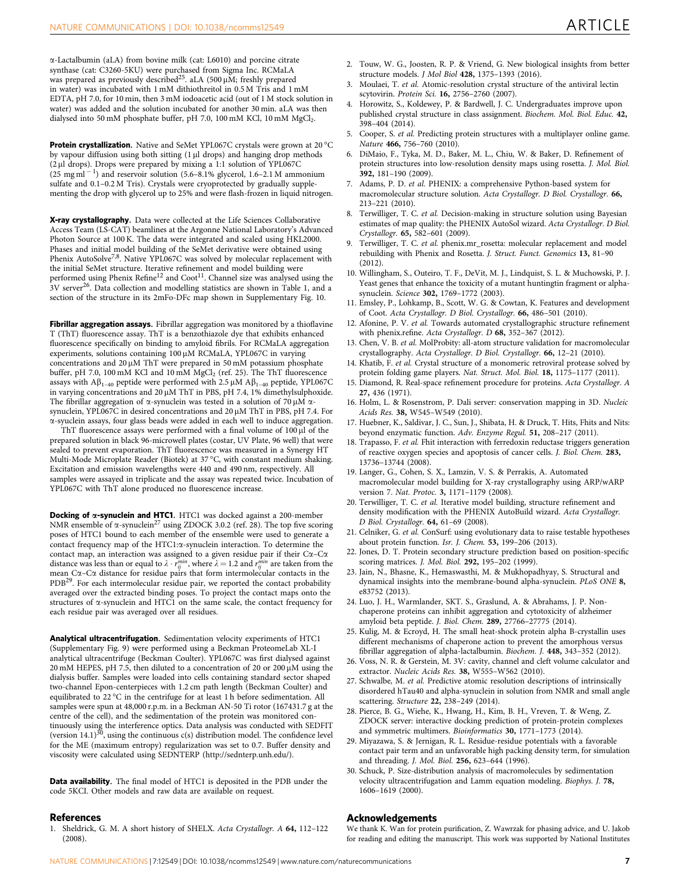$\alpha$ -Lactalbumin (aLA) from bovine milk (cat: L6010) and porcine citrate synthase (cat: C3260-5KU) were purchased from Sigma Inc. RCMaLA was prepared as previously described<sup>25</sup>. aLA (500  $\mu$ M; freshly prepared in water) was incubated with 1 mM dithiothreitol in 0.5 M Tris and 1 mM EDTA, pH 7.0, for 10 min, then 3 mM iodoacetic acid (out of 1 M stock solution in water) was added and the solution incubated for another 30 min. aLA was then dialysed into 50 mM phosphate buffer, pH 7.0, 100 mM KCl, 10 mM MgCl<sub>2</sub>.

Protein crystallization. Native and SeMet YPL067C crystals were grown at 20 °C by vapour diffusion using both sitting (1 µl drops) and hanging drop methods (2 ml drops). Drops were prepared by mixing a 1:1 solution of YPL067C  $(25 \text{ mg} \text{m} \text{l}^{-1})$  and reservoir solution (5.6–8.1% glycerol, 1.6–2.1 M ammonium sulfate and 0.1–0.2 M Tris). Crystals were cryoprotected by gradually supplementing the drop with glycerol up to 25% and were flash-frozen in liquid nitrogen.

X-ray crystallography. Data were collected at the Life Sciences Collaborative Access Team (LS-CAT) beamlines at the Argonne National Laboratory's Advanced Photon Source at 100 K. The data were integrated and scaled using HKL2000. Phases and initial model building of the SeMet derivative were obtained using Phenix AutoSolve<sup>7,8</sup>. Native YPL067C was solved by molecular replacement with the initial SeMet structure. Iterative refinement and model building were performed using Phenix Refine<sup>12</sup> and Coot<sup>11</sup>. Channel size was analysed using the 3V server26. Data collection and modelling statistics are shown in Table 1, and a section of the structure in its 2mFo-DFc map shown in Supplementary Fig. 10.

Fibrillar aggregation assays. Fibrillar aggregation was monitored by a thioflavine T (ThT) fluorescence assay. ThT is a benzothiazole dye that exhibits enhanced fluorescence specifically on binding to amyloid fibrils. For RCMaLA aggregation experiments, solutions containing 100 µM RCMaLA, YPL067C in varying concentrations and  $20 \mu$ M ThT were prepared in 50 mM potassium phosphate buffer, pH 7.0, 100 mM KCl and 10 mM  ${ {\rm MgCl}_2}$  (ref. 25). The ThT fluorescence assays with  $A\beta_{1-40}$  peptide were performed with 2.5  $\mu$ M  $A\beta_{1-40}$  peptide, YPL067C in varying concentrations and 20  $\mu$ M ThT in PBS, pH 7.4, 1% dimethylsulphoxide. The fibrillar aggregation of  $\alpha$ -synuclein was tested in a solution of 70  $\mu$ M  $\alpha$ synuclein, YPL067C in desired concentrations and 20  $\mu$ M ThT in PBS, pH 7.4. For a-syuclein assays, four glass beads were added in each well to induce aggregation.

ThT fluorescence assays were performed with a final volume of  $100 \mu$ l of the prepared solution in black 96-microwell plates (costar, UV Plate, 96 well) that were sealed to prevent evaporation. ThT fluorescence was measured in a Synergy HT Multi-Mode Microplate Reader (Biotek) at 37 °C, with constant medium shaking. Excitation and emission wavelengths were 440 and 490 nm, respectively. All samples were assayed in triplicate and the assay was repeated twice. Incubation of YPL067C with ThT alone produced no fluorescence increase.

Docking of a-synuclein and HTC1. HTC1 was docked against a 200-member NMR ensemble of  $\alpha$ -synuclein<sup>27</sup> using ZDOCK 3.0.2 (ref. 28). The top five scoring poses of HTC1 bound to each member of the ensemble were used to generate a contact frequency map of the HTC1: $\alpha$ -synuclein interaction. To determine the contact map, an interaction was assigned to a given residue pair if their  $C\alpha$ – $C\alpha$ distance was less than or equal to  $\lambda \cdot r^{min}_{ij}$ , where  $\lambda = 1.2$  and  $r^{min}_{ij}$  are taken from the mean  $C\alpha$ – $C\alpha$  distance for residue pairs that form intermolecular contacts in the PDB<sup>29</sup>. For each intermolecular residue pair, we reported the contact probability averaged over the extracted binding poses. To project the contact maps onto the structures of  $\alpha$ -synuclein and HTC1 on the same scale, the contact frequency for each residue pair was averaged over all residues.

Analytical ultracentrifugation. Sedimentation velocity experiments of HTC1 (Supplementary Fig. 9) were performed using a Beckman ProteomeLab XL-I analytical ultracentrifuge (Beckman Coulter). YPL067C was first dialysed against 20 mM HEPES, pH 7.5, then diluted to a concentration of 20 or 200  $\mu$ M using the dialysis buffer. Samples were loaded into cells containing standard sector shaped two-channel Epon-centerpieces with 1.2 cm path length (Beckman Coulter) and equilibrated to 22 °C in the centrifuge for at least 1 h before sedimentation. All samples were spun at 48,000 r.p.m. in a Beckman AN-50 Ti rotor (167431.7 g at the centre of the cell), and the sedimentation of the protein was monitored continuously using the interference optics. Data analysis was conducted with SEDFIT<br>(version 14.1)<sup>30</sup>, using the continuous c(s) distribution model. The confidence level for the ME (maximum entropy) regularization was set to 0.7. Buffer density and viscosity were calculated using SEDNTERP (http://sednterp.unh.edu/).

**Data availability**. The final model of HTC1 is deposited in the PDB under the code 5KCI. Other models and raw data are available on request.

### **References**

1. Sheldrick, G. M. A short history of SHELX. Acta Crystallogr. A 64, 112–122 (2008).

- 2. Touw, W. G., Joosten, R. P. & Vriend, G. New biological insights from better structure models. J Mol Biol 428, 1375–1393 (2016).
- 3. Moulaei, T. et al. Atomic-resolution crystal structure of the antiviral lectin scytovirin. Protein Sci. 16, 2756-2760 (2007).
- 4. Horowitz, S., Koldewey, P. & Bardwell, J. C. Undergraduates improve upon published crystal structure in class assignment. Biochem. Mol. Biol. Educ. 42, 398–404 (2014).
- 5. Cooper, S. et al. Predicting protein structures with a multiplayer online game. Nature 466, 756–760 (2010).
- 6. DiMaio, F., Tyka, M. D., Baker, M. L., Chiu, W. & Baker, D. Refinement of protein structures into low-resolution density maps using rosetta. J. Mol. Biol. 392, 181–190 (2009).
- 7. Adams, P. D. et al. PHENIX: a comprehensive Python-based system for macromolecular structure solution. Acta Crystallogr. D Biol. Crystallogr. 66, 213–221 (2010).
- Terwilliger, T. C. et al. Decision-making in structure solution using Bayesian estimates of map quality: the PHENIX AutoSol wizard. Acta Crystallogr. D Biol. Crystallogr. 65, 582–601 (2009).
- Terwilliger, T. C. et al. phenix.mr\_rosetta: molecular replacement and model rebuilding with Phenix and Rosetta. J. Struct. Funct. Genomics 13, 81–90 (2012).
- 10. Willingham, S., Outeiro, T. F., DeVit, M. J., Lindquist, S. L. & Muchowski, P. J. Yeast genes that enhance the toxicity of a mutant huntingtin fragment or alphasynuclein. Science 302, 1769–1772 (2003).
- 11. Emsley, P., Lohkamp, B., Scott, W. G. & Cowtan, K. Features and development of Coot. Acta Crystallogr. D Biol. Crystallogr. 66, 486–501 (2010).
- 12. Afonine, P. V. et al. Towards automated crystallographic structure refinement with phenix.refine. Acta Crystallogr. D 68, 352–367 (2012).
- 13. Chen, V. B. et al. MolProbity: all-atom structure validation for macromolecular crystallography. Acta Crystallogr. D Biol. Crystallogr. 66, 12-21 (2010).
- 14. Khatib, F. et al. Crystal structure of a monomeric retroviral protease solved by protein folding game players. Nat. Struct. Mol. Biol. 18, 1175–1177 (2011).
- 15. Diamond, R. Real-space refinement procedure for proteins. Acta Crystallogr. A 27, 436 (1971).
- 16. Holm, L. & Rosenstrom, P. Dali server: conservation mapping in 3D. Nucleic Acids Res. 38, W545-W549 (2010).
- 17. Huebner, K., Saldivar, J. C., Sun, J., Shibata, H. & Druck, T. Hits, Fhits and Nits: beyond enzymatic function. Adv. Enzyme Regul. 51, 208–217 (2011).
- 18. Trapasso, F. et al. Fhit interaction with ferredoxin reductase triggers generation of reactive oxygen species and apoptosis of cancer cells. J. Biol. Chem. 283, 13736–13744 (2008).
- 19. Langer, G., Cohen, S. X., Lamzin, V. S. & Perrakis, A. Automated macromolecular model building for X-ray crystallography using ARP/wARP version 7. Nat. Protoc. 3, 1171–1179 (2008).
- 20. Terwilliger, T. C. et al. Iterative model building, structure refinement and density modification with the PHENIX AutoBuild wizard. Acta Crystallogr. D Biol. Crystallogr. 64, 61–69 (2008).
- 21. Celniker, G. et al. ConSurf: using evolutionary data to raise testable hypotheses about protein function. Isr. J. Chem. 53, 199–206 (2013).
- 22. Jones, D. T. Protein secondary structure prediction based on position-specific scoring matrices. J. Mol. Biol. 292, 195–202 (1999).
- 23. Jain, N., Bhasne, K., Hemaswasthi, M. & Mukhopadhyay, S. Structural and dynamical insights into the membrane-bound alpha-synuclein. PLoS ONE 8, e83752 (2013).
- 24. Luo, J. H., Warmlander, SKT. S., Graslund, A. & Abrahams, J. P. Nonchaperone proteins can inhibit aggregation and cytotoxicity of alzheimer amyloid beta peptide. J. Biol. Chem. 289, 27766–27775 (2014).
- 25. Kulig, M. & Ecroyd, H. The small heat-shock protein alpha B-crystallin uses different mechanisms of chaperone action to prevent the amorphous versus fibrillar aggregation of alpha-lactalbumin. Biochem. J. 448, 343–352 (2012).
- 26. Voss, N. R. & Gerstein, M. 3V: cavity, channel and cleft volume calculator and extractor. Nucleic Acids Res. 38, W555–W562 (2010).
- 27. Schwalbe, M. et al. Predictive atomic resolution descriptions of intrinsically disordered hTau40 and alpha-synuclein in solution from NMR and small angle scattering. Structure 22, 238–249 (2014).
- 28. Pierce, B. G., Wiehe, K., Hwang, H., Kim, B. H., Vreven, T. & Weng, Z. ZDOCK server: interactive docking prediction of protein-protein complexes and symmetric multimers. Bioinformatics 30, 1771–1773 (2014).
- 29. Miyazawa, S. & Jernigan, R. L. Residue-residue potentials with a favorable contact pair term and an unfavorable high packing density term, for simulation and threading. J. Mol. Biol. 256, 623–644 (1996).
- 30. Schuck, P. Size-distribution analysis of macromolecules by sedimentation velocity ultracentrifugation and Lamm equation modeling. Biophys. J. 78, 1606–1619 (2000).

### Acknowledgements

We thank K. Wan for protein purification, Z. Wawrzak for phasing advice, and U. Jakob for reading and editing the manuscript. This work was supported by National Institutes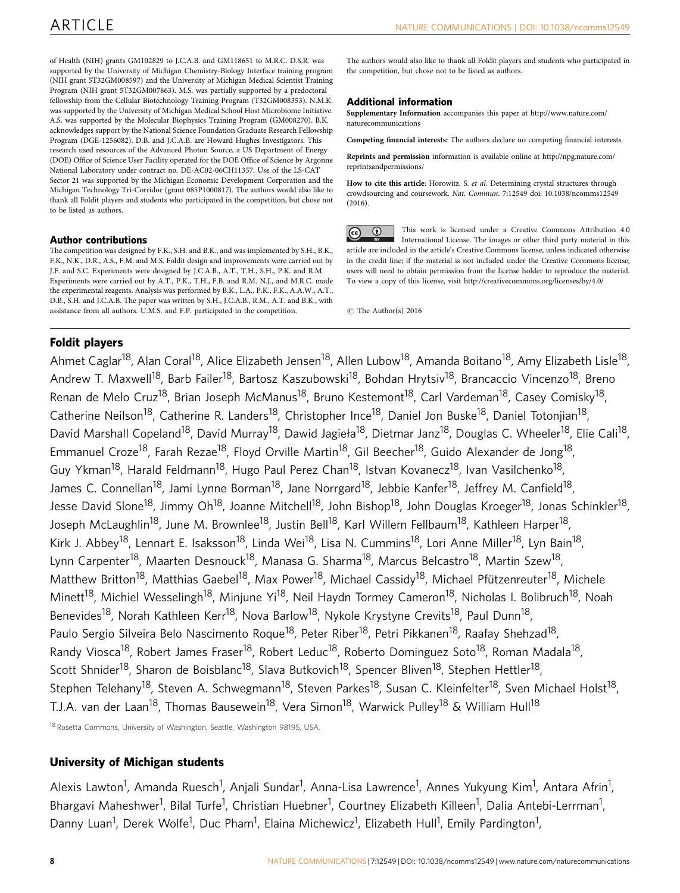of Health (NIH) grants GM102829 to J.C.A.B. and GM118651 to M.R.C. D.S.R. was supported by the University of Michigan Chemistry-Biology Interface training program (NIH grant 5T32GM008597) and the University of Michigan Medical Scientist Training Program (NIH grant 5T32GM007863). M.S. was partially supported by a predoctoral fellowship from the Cellular Biotechnology Training Program (T32GM008353). N.M.K. was supported by the University of Michigan Medical School Host Microbiome Initiative. A.S. was supported by the Molecular Biophysics Training Program (GM008270). B.K. acknowledges support by the National Science Foundation Graduate Research Fellowship Program (DGE-1256082). D.B. and J.C.A.B. are Howard Hughes Investigators. This research used resources of the Advanced Photon Source, a US Department of Energy (DOE) Office of Science User Facility operated for the DOE Office of Science by Argonne National Laboratory under contract no. DE-AC02-06CH11357. Use of the LS-CAT Sector 21 was supported by the Michigan Economic Development Corporation and the Michigan Technology Tri-Corridor (grant 085P1000817). The authors would also like to thank all Foldit players and students who participated in the competition, but chose not to be listed as authors.

## Author contributions

The competition was designed by F.K., S.H. and B.K., and was implemented by S.H., B.K., F.K., N.K., D.R., A.S., F.M. and M.S. Foldit design and improvements were carried out by J.F. and S.C. Experiments were designed by J.C.A.B., A.T., T.H., S.H., P.K. and R.M. Experiments were carried out by A.T., P.K., T.H., F.B. and R.M. N.J., and M.R.C. made the experimental reagents. Analysis was performed by B.K., L.A., P.K., F.K., A.A.W., A.T., D.B., S.H. and J.C.A.B. The paper was written by S.H., J.C.A.B., R.M., A.T. and B.K., with assistance from all authors. U.M.S. and F.P. participated in the competition.

The authors would also like to thank all Foldit players and students who participated in the competition, but chose not to be listed as authors.

# Additional information

Supplementary Information accompanies this paper at http://www.nature.com/ naturecommunications

Competing financial interests: The authors declare no competing financial interests.

Reprints and permission information is available online at http://npg.nature.com/ reprintsandpermissions/

How to cite this article: Horowitz, S. et al. Determining crystal structures through crowdsourcing and coursework. Nat. Commun. 7:12549 doi: 10.1038/ncomms12549  $(2016)$ 

This work is licensed under a Creative Commons Attribution 4.0  $\odot$  $\left[$ cc) International License. The images or other third party material in this article are included in the article's Creative Commons license, unless indicated otherwise in the credit line; if the material is not included under the Creative Commons license, users will need to obtain permission from the license holder to reproduce the material. To view a copy of this license, visit http://creativecommons.org/licenses/by/4.0/

 $\odot$  The Author(s) 2016

# Foldit players

Ahmet Caglar<sup>18</sup>, Alan Coral<sup>18</sup>, Alice Elizabeth Jensen<sup>18</sup>, Allen Lubow<sup>18</sup>, Amanda Boitano<sup>18</sup>, Amy Elizabeth Lisle<sup>18</sup>, Andrew T. Maxwell<sup>18</sup>, Barb Failer<sup>18</sup>, Bartosz Kaszubowski<sup>18</sup>, Bohdan Hrytsiv<sup>18</sup>, Brancaccio Vincenzo<sup>18</sup>, Breno Renan de Melo Cruz<sup>18</sup>, Brian Joseph McManus<sup>18</sup>, Bruno Kestemont<sup>18</sup>, Carl Vardeman<sup>18</sup>, Casey Comisky<sup>18</sup>, Catherine Neilson<sup>18</sup>, Catherine R. Landers<sup>18</sup>, Christopher Ince<sup>18</sup>, Daniel Jon Buske<sup>18</sup>, Daniel Totonjian<sup>18</sup>, David Marshall Copeland<sup>18</sup>, David Murray<sup>18</sup>, Dawid Jagieła<sup>18</sup>, Dietmar Janz<sup>18</sup>, Douglas C. Wheeler<sup>18</sup>, Elie Cali<sup>18</sup>, Emmanuel Croze<sup>18</sup>, Farah Rezae<sup>18</sup>, Floyd Orville Martin<sup>18</sup>, Gil Beecher<sup>18</sup>, Guido Alexander de Jong<sup>18</sup>, Guy Ykman<sup>18</sup>, Harald Feldmann<sup>18</sup>, Hugo Paul Perez Chan<sup>18</sup>, Istvan Kovanecz<sup>18</sup>, Ivan Vasilchenko<sup>18</sup>, James C. Connellan<sup>18</sup>, Jami Lynne Borman<sup>18</sup>, Jane Norrgard<sup>18</sup>, Jebbie Kanfer<sup>18</sup>, Jeffrey M. Canfield<sup>18</sup>, Jesse David Slone<sup>18</sup>, Jimmy Oh<sup>18</sup>, Joanne Mitchell<sup>18</sup>, John Bishop<sup>18</sup>, John Douglas Kroeger<sup>18</sup>, Jonas Schinkler<sup>18</sup>, Joseph McLaughlin<sup>18</sup>, June M. Brownlee<sup>18</sup>, Justin Bell<sup>18</sup>, Karl Willem Fellbaum<sup>18</sup>, Kathleen Harper<sup>18</sup>, Kirk J. Abbey<sup>18</sup>, Lennart E. Isaksson<sup>18</sup>, Linda Wei<sup>18</sup>, Lisa N. Cummins<sup>18</sup>, Lori Anne Miller<sup>18</sup>, Lyn Bain<sup>18</sup>, Lynn Carpenter<sup>18</sup>, Maarten Desnouck<sup>18</sup>, Manasa G. Sharma<sup>18</sup>, Marcus Belcastro<sup>18</sup>, Martin Szew<sup>18</sup>, Matthew Britton<sup>18</sup>, Matthias Gaebel<sup>18</sup>, Max Power<sup>18</sup>, Michael Cassidy<sup>18</sup>, Michael Pfützenreuter<sup>18</sup>, Michele Minett<sup>18</sup>, Michiel Wesselingh<sup>18</sup>, Minjune Yi<sup>18</sup>, Neil Haydn Tormey Cameron<sup>18</sup>, Nicholas I. Bolibruch<sup>18</sup>, Noah Benevides<sup>18</sup>, Norah Kathleen Kerr<sup>18</sup>, Nova Barlow<sup>18</sup>, Nykole Krystyne Crevits<sup>18</sup>, Paul Dunn<sup>18</sup>, Paulo Sergio Silveira Belo Nascimento Roque<sup>18</sup>, Peter Riber<sup>18</sup>, Petri Pikkanen<sup>18</sup>, Raafay Shehzad<sup>18</sup>, Randy Viosca<sup>18</sup>, Robert James Fraser<sup>18</sup>, Robert Leduc<sup>18</sup>, Roberto Dominguez Soto<sup>18</sup>, Roman Madala<sup>18</sup>, Scott Shnider<sup>18</sup>, Sharon de Boisblanc<sup>18</sup>, Slava Butkovich<sup>18</sup>, Spencer Bliven<sup>18</sup>, Stephen Hettler<sup>18</sup>, Stephen Telehany<sup>18</sup>, Steven A. Schwegmann<sup>18</sup>, Steven Parkes<sup>18</sup>, Susan C. Kleinfelter<sup>18</sup>, Sven Michael Holst<sup>18</sup>, T.J.A. van der Laan<sup>18</sup>, Thomas Bausewein<sup>18</sup>, Vera Simon<sup>18</sup>, Warwick Pulley<sup>18</sup> & William Hull<sup>18</sup>

<sup>18</sup> Rosetta Commons, University of Washington, Seattle, Washington 98195, USA.

# University of Michigan students

Alexis Lawton<sup>1</sup>, Amanda Ruesch<sup>1</sup>, Anjali Sundar<sup>1</sup>, Anna-Lisa Lawrence<sup>1</sup>, Annes Yukyung Kim<sup>1</sup>, Antara Afrin<sup>1</sup>, Bhargavi Maheshwer<sup>1</sup>, Bilal Turfe<sup>1</sup>, Christian Huebner<sup>1</sup>, Courtney Elizabeth Killeen<sup>1</sup>, Dalia Antebi-Lerrman<sup>1</sup>, Danny Luan<sup>1</sup>, Derek Wolfe<sup>1</sup>, Duc Pham<sup>1</sup>, Elaina Michewicz<sup>1</sup>, Elizabeth Hull<sup>1</sup>, Emily Pardington<sup>1</sup>,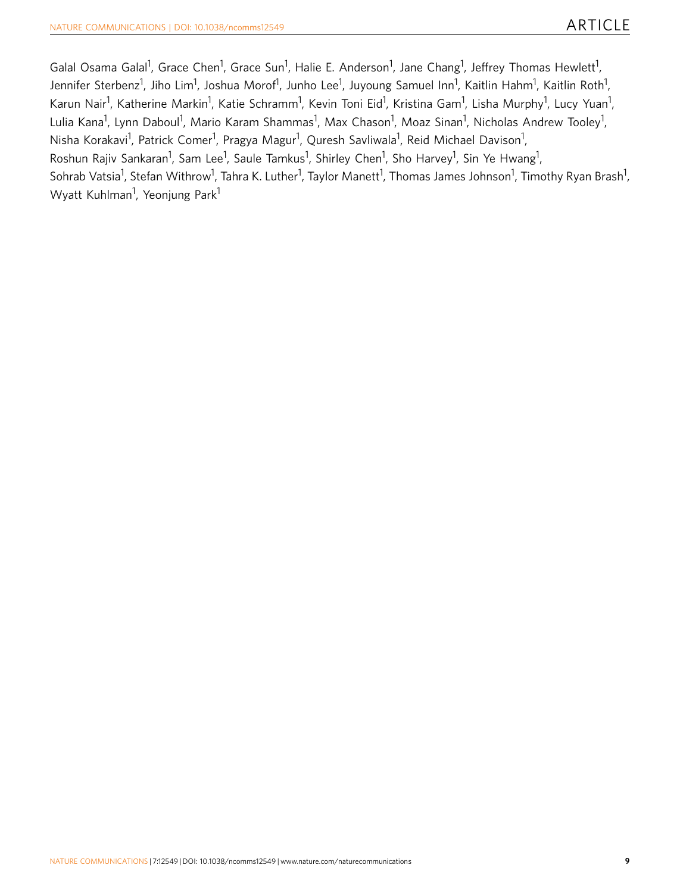Galal Osama Galal<sup>1</sup>, Grace Chen<sup>1</sup>, Grace Sun<sup>1</sup>, Halie E. Anderson<sup>1</sup>, Jane Chang<sup>1</sup>, Jeffrey Thomas Hewlett<sup>1</sup>, Jennifer Sterbenz<sup>1</sup>, Jiho Lim<sup>1</sup>, Joshua Morof<sup>1</sup>, Junho Lee<sup>1</sup>, Juyoung Samuel Inn<sup>1</sup>, Kaitlin Hahm<sup>1</sup>, Kaitlin Roth<sup>1</sup>, Karun Nair<sup>1</sup>, Katherine Markin<sup>1</sup>, Katie Schramm<sup>1</sup>, Kevin Toni Eid<sup>1</sup>, Kristina Gam<sup>1</sup>, Lisha Murphy<sup>1</sup>, Lucy Yuan<sup>1</sup>, Lulia Kana<sup>1</sup>, Lynn Daboul<sup>1</sup>, Mario Karam Shammas<sup>1</sup>, Max Chason<sup>1</sup>, Moaz Sinan<sup>1</sup>, Nicholas Andrew Tooley<sup>1</sup>, Nisha Korakavi<sup>1</sup>, Patrick Comer<sup>1</sup>, Pragya Magur<sup>1</sup>, Quresh Savliwala<sup>1</sup>, Reid Michael Davison<sup>1</sup>, Roshun Rajiv Sankaran<sup>1</sup>, Sam Lee<sup>1</sup>, Saule Tamkus<sup>1</sup>, Shirley Chen<sup>1</sup>, Sho Harvey<sup>1</sup>, Sin Ye Hwang<sup>1</sup>, Sohrab Vatsia<sup>1</sup>, Stefan Withrow<sup>1</sup>, Tahra K. Luther<sup>1</sup>, Taylor Manett<sup>1</sup>, Thomas James Johnson<sup>1</sup>, Timothy Ryan Brash<sup>1</sup>, Wyatt Kuhlman<sup>1</sup>, Yeonjung Park<sup>1</sup>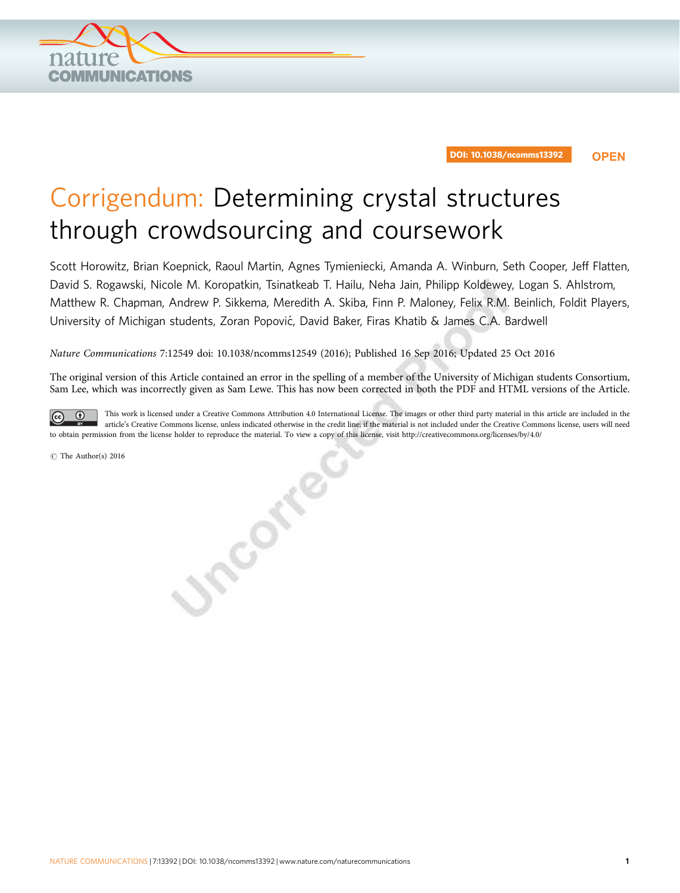

# Corrigendum: Determining crystal structures through crowdsourcing and coursework

Scott Horowitz, Brian Koepnick, Raoul Martin, Agnes Tymieniecki, Amanda A. Winburn, Seth Cooper, Jeff Flatten, David S. Rogawski, Nicole M. Koropatkin, Tsinatkeab T. Hailu, Neha Jain, Philipp Koldewey, Logan S. Ahlstrom, Matthew R. Chapman, Andrew P. Sikkema, Meredith A. Skiba, Finn P. Maloney, Felix R.M. Beinlich, Foldit Players, University of Michigan students, Zoran Popović, David Baker, Firas Khatib & James C.A. Bardwell

Nature Communications 7:12549 doi: 10.1038/ncomms12549 (2016); Published 16 Sep 2016; Updated 25 Oct 2016

Jinconice

The original version of this Article contained an error in the spelling of a member of the University of Michigan students Consortium, Sam Lee, which was incorrectly given as Sam Lewe. This has now been corrected in both the PDF and HTML versions of the Article.

This work is licensed under a Creative Commons Attribution 4.0 International License. The images or other third party material in this article are included in the  $\odot$  $\odot$ article's Creative Commons license, unless indicated otherwise in the credit line; if the material is not included under the Creative Commons license, users will need to obtain permission from the license holder to reproduce the material. To view a copy of this license, visit http://creativecommons.org/licenses/by/4.0/

 $\odot$  The Author(s) 2016